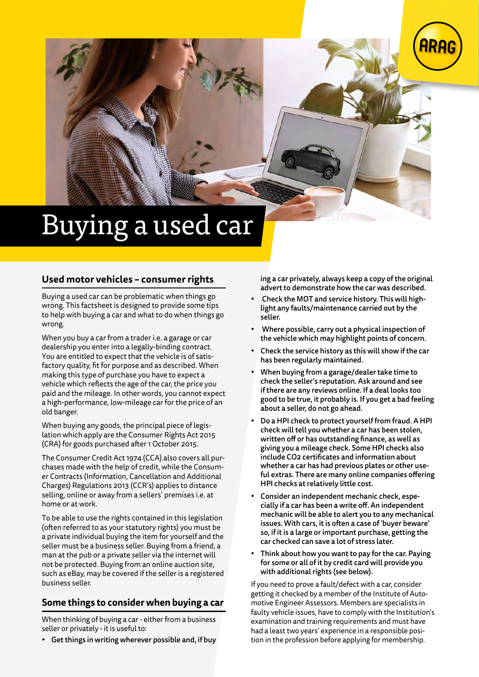

# Buying a used car

#### **Used motor vehicles – consumer rights**

Buying a used car can be problematic when things go wrong. This factsheet is designed to provide some tips to help with buying a car and what to do when things go wrong.

When you buy a car from a trader i.e. a garage or car dealership you enter into a legally-binding contract. You are entitled to expect that the vehicle is of satisfactory quality, fit for purpose and as described. When making this type of purchase you have to expect a vehicle which reflects the age of the car, the price you paid and the mileage. In other words, you cannot expect a high-performance, low-mileage car for the price of an old banger.

When buying any goods, the principal piece of legislation which apply are the Consumer Rights Act 2015 (CRA) for goods purchased after 1 October 2015.

The Consumer Credit Act 1974 (CCA) also covers all purchases made with the help of credit, while the Consumer Contracts (Information, Cancellation and Additional Charges) Regulations 2013 (CCR's) applies to distance selling, online or away from a sellers' premises i.e. at home or at work.

To be able to use the rights contained in this legislation (often referred to as your statutory rights) you must be a private individual buying the item for yourself and the seller must be a business seller. Buying from a friend, a man at the pub or a private seller via the internet will not be protected. Buying from an online auction site, such as eBay, may be covered if the seller is a registered business seller.

#### **Some things to consider when buying a car**

When thinking of buying a car - either from a business seller or privately - it is useful to:

• Get things in writing wherever possible and, if buy

ing a car privately, always keep a copy of the original advert to demonstrate how the car was described.

- Check the MOT and service history. This will highlight any faults/maintenance carried out by the seller.
- Where possible, carry out a physical inspection of the vehicle which may highlight points of concern.
- Check the service history as this will show if the car has been regularly maintained.
- When buying from a garage/dealer take time to check the seller's reputation. Ask around and see if there are any reviews online. If a deal looks too good to be true, it probably is. If you get a bad feeling about a seller, do not go ahead.
- Do a HPI check to protect yourself from fraud. A HPI check will tell you whether a car has been stolen, written off or has outstanding finance, as well as giving you a mileage check. Some HPI checks also include CO2 certificates and information about whether a car has had previous plates or other useful extras. There are many online companies offering HPI checks at relatively little cost.
- Consider an independent mechanic check, especially if a car has been a write off. An independent mechanic will be able to alert you to any mechanical issues. With cars, it is often a case of 'buyer beware' so, if it is a large or important purchase, getting the car checked can save a lot of stress later.
- Think about how you want to pay for the car. Paying for some or all of it by credit card will provide you with additional rights (see below).

If you need to prove a fault/defect with a car, consider getting it checked by a member of the Institute of Automotive Engineer Assessors. Members are specialists in faulty vehicle issues, have to comply with the Institution's examination and training requirements and must have had a least two years' experience in a responsible position in the profession before applying for membership.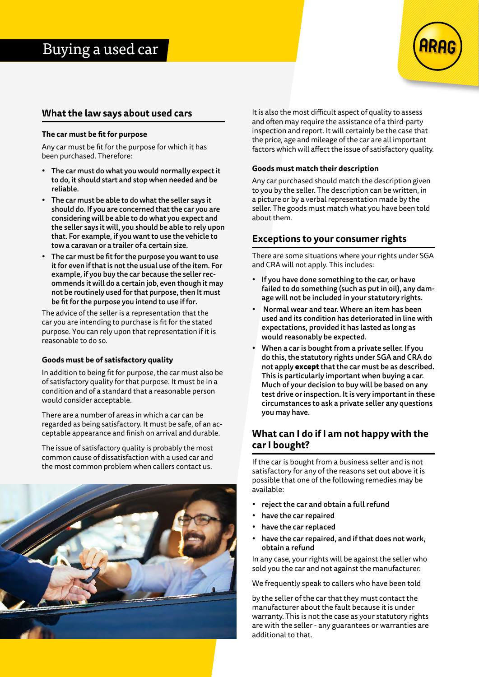

#### **What the law says about used cars**

#### **The car must be fit for purpose**

Any car must be fit for the purpose for which it has been purchased. Therefore:

- The car must do what you would normally expect it to do, it should start and stop when needed and be reliable.
- The car must be able to do what the seller says it should do. If you are concerned that the car you are considering will be able to do what you expect and the seller says it will, you should be able to rely upon that. For example, if you want to use the vehicle to tow a caravan or a trailer of a certain size.
- The car must be fit for the purpose you want to use it for even if that is not the usual use of the item. For example, if you buy the car because the seller recommends it will do a certain job, even though it may not be routinely used for that purpose, then It must be fit for the purpose you intend to use if for.

The advice of the seller is a representation that the car you are intending to purchase is fit for the stated purpose. You can rely upon that representation if it is reasonable to do so.

#### **Goods must be of satisfactory quality**

In addition to being fit for purpose, the car must also be of satisfactory quality for that purpose. It must be in a condition and of a standard that a reasonable person would consider acceptable.

There are a number of areas in which a car can be regarded as being satisfactory. It must be safe, of an acceptable appearance and finish on arrival and durable.

The issue of satisfactory quality is probably the most common cause of dissatisfaction with a used car and the most common problem when callers contact us.



It is also the most difficult aspect of quality to assess and often may require the assistance of a third-party inspection and report. It will certainly be the case that the price, age and mileage of the car are all important factors which will affect the issue of satisfactory quality.

#### **Goods must match their description**

Any car purchased should match the description given to you by the seller. The description can be written, in a picture or by a verbal representation made by the seller. The goods must match what you have been told about them.

#### **Exceptions to your consumer rights**

There are some situations where your rights under SGA and CRA will not apply. This includes:

- If you have done something to the car, or have failed to do something (such as put in oil), any damage will not be included in your statutory rights.
- Normal wear and tear. Where an item has been used and its condition has deteriorated in line with expectations, provided it has lasted as long as would reasonably be expected.
- When a car is bought from a private seller. If you do this, the statutory rights under SGA and CRA do not apply **except** that the car must be as described. This is particularly important when buying a car. Much of your decision to buy will be based on any test drive or inspection. It is very important in these circumstances to ask a private seller any questions you may have.

#### **What can I do if I am not happy with the car I bought?**

If the car is bought from a business seller and is not satisfactory for any of the reasons set out above it is possible that one of the following remedies may be available:

- reject the car and obtain a full refund
- have the car repaired
- have the car replaced
- have the car repaired, and if that does not work, obtain a refund

In any case, your rights will be against the seller who sold you the car and not against the manufacturer.

We frequently speak to callers who have been told

by the seller of the car that they must contact the manufacturer about the fault because it is under warranty. This is not the case as your statutory rights are with the seller - any guarantees or warranties are additional to that.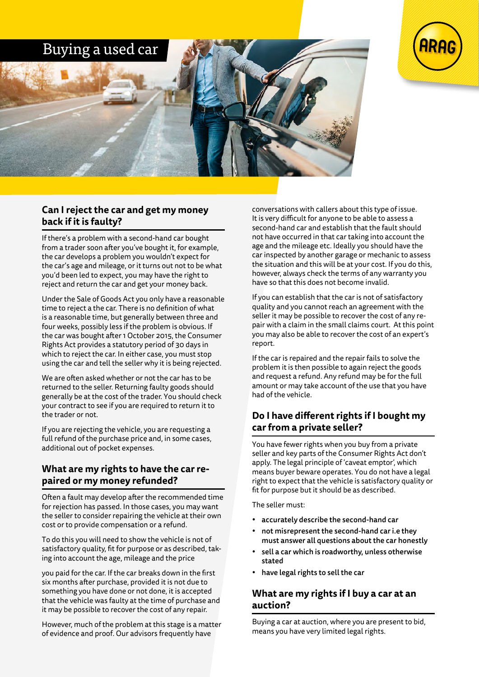

#### **Can I reject the car and get my money back if it is faulty?**

If there's a problem with a second-hand car bought from a trader soon after you've bought it, for example, the car develops a problem you wouldn't expect for the car's age and mileage, or it turns out not to be what you'd been led to expect, you may have the right to reject and return the car and get your money back.

Under the Sale of Goods Act you only have a reasonable time to reject a the car. There is no definition of what is a reasonable time, but generally between three and four weeks, possibly less if the problem is obvious. If the car was bought after 1 October 2015, the Consumer Rights Act provides a statutory period of 30 days in which to reject the car. In either case, you must stop using the car and tell the seller why it is being rejected.

We are often asked whether or not the car has to be returned to the seller. Returning faulty goods should generally be at the cost of the trader. You should check your contract to see if you are required to return it to the trader or not.

If you are rejecting the vehicle, you are requesting a full refund of the purchase price and, in some cases, additional out of pocket expenses.

#### **What are my rights to have the car repaired or my money refunded?**

Often a fault may develop after the recommended time for rejection has passed. In those cases, you may want the seller to consider repairing the vehicle at their own cost or to provide compensation or a refund.

To do this you will need to show the vehicle is not of satisfactory quality, fit for purpose or as described, taking into account the age, mileage and the price

you paid for the car. If the car breaks down in the first six months after purchase, provided it is not due to something you have done or not done, it is accepted that the vehicle was faulty at the time of purchase and it may be possible to recover the cost of any repair.

However, much of the problem at this stage is a matter of evidence and proof. Our advisors frequently have

conversations with callers about this type of issue. It is very difficult for anyone to be able to assess a second-hand car and establish that the fault should not have occurred in that car taking into account the age and the mileage etc. Ideally you should have the car inspected by another garage or mechanic to assess the situation and this will be at your cost. If you do this, however, always check the terms of any warranty you have so that this does not become invalid.

If you can establish that the car is not of satisfactory quality and you cannot reach an agreement with the seller it may be possible to recover the cost of any repair with a claim in the small claims court. At this point you may also be able to recover the cost of an expert's report.

If the car is repaired and the repair fails to solve the problem it is then possible to again reject the goods and request a refund. Any refund may be for the full amount or may take account of the use that you have had of the vehicle.

### **Do I have different rights if I bought my car from a private seller?**

You have fewer rights when you buy from a private seller and key parts of the Consumer Rights Act don't apply. The legal principle of 'caveat emptor', which means buyer beware operates. You do not have a legal right to expect that the vehicle is satisfactory quality or fit for purpose but it should be as described.

The seller must:

- accurately describe the second-hand car
- not misrepresent the second-hand car i.e they must answer all questions about the car honestly
- sell a car which is roadworthy, unless otherwise stated
- have legal rights to sell the car

#### **What are my rights if I buy a car at an auction?**

Buying a car at auction, where you are present to bid, means you have very limited legal rights.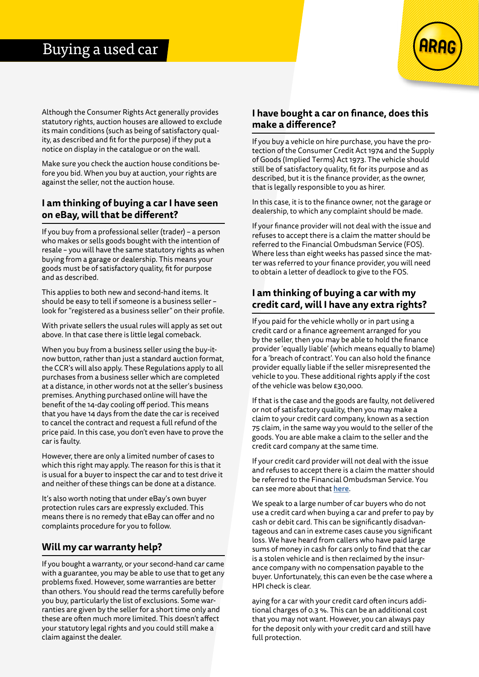

Although the Consumer Rights Act generally provides statutory rights, auction houses are allowed to exclude its main conditions (such as being of satisfactory quality, as described and fit for the purpose) if they put a notice on display in the catalogue or on the wall.

Make sure you check the auction house conditions before you bid. When you buy at auction, your rights are against the seller, not the auction house.

#### **I am thinking of buying a car I have seen on eBay, will that be different?**

If you buy from a professional seller (trader) – a person who makes or sells goods bought with the intention of resale – you will have the same statutory rights as when buying from a garage or dealership. This means your goods must be of satisfactory quality, fit for purpose and as described.

This applies to both new and second-hand items. It should be easy to tell if someone is a business seller – look for "registered as a business seller" on their profile.

With private sellers the usual rules will apply as set out above. In that case there is little legal comeback.

When you buy from a business seller using the buy-itnow button, rather than just a standard auction format, the CCR's will also apply. These Regulations apply to all purchases from a business seller which are completed at a distance, in other words not at the seller's business premises. Anything purchased online will have the benefit of the 14-day cooling off period. This means that you have 14 days from the date the car is received to cancel the contract and request a full refund of the price paid. In this case, you don't even have to prove the car is faulty.

However, there are only a limited number of cases to which this right may apply. The reason for this is that it is usual for a buyer to inspect the car and to test drive it and neither of these things can be done at a distance.

It's also worth noting that under eBay's own buyer protection rules cars are expressly excluded. This means there is no remedy that eBay can offer and no complaints procedure for you to follow.

#### **Will my car warranty help?**

If you bought a warranty, or your second-hand car came with a guarantee, you may be able to use that to get any problems fixed. However, some warranties are better than others. You should read the terms carefully before you buy, particularly the list of exclusions. Some warranties are given by the seller for a short time only and these are often much more limited. This doesn't affect your statutory legal rights and you could still make a claim against the dealer.

#### **I have bought a car on finance, does this make a difference?**

If you buy a vehicle on hire purchase, you have the protection of the Consumer Credit Act 1974 and the Supply of Goods (Implied Terms) Act 1973. The vehicle should still be of satisfactory quality, fit for its purpose and as described, but it is the finance provider, as the owner, that is legally responsible to you as hirer.

In this case, it is to the finance owner, not the garage or dealership, to which any complaint should be made.

If your finance provider will not deal with the issue and refuses to accept there is a claim the matter should be referred to the Financial Ombudsman Service (FOS). Where less than eight weeks has passed since the matter was referred to your finance provider, you will need to obtain a letter of deadlock to give to the FOS.

#### **I am thinking of buying a car with my credit card, will I have any extra rights?**

If you paid for the vehicle wholly or in part using a credit card or a finance agreement arranged for you by the seller, then you may be able to hold the finance provider 'equally liable' (which means equally to blame) for a 'breach of contract'. You can also hold the finance provider equally liable if the seller misrepresented the vehicle to you. These additional rights apply if the cost of the vehicle was below £30,000.

If that is the case and the goods are faulty, not delivered or not of satisfactory quality, then you may make a claim to your credit card company, known as a section 75 claim, in the same way you would to the seller of the goods. You are able make a claim to the seller and the credit card company at the same time.

If your credit card provider will not deal with the issue and refuses to accept there is a claim the matter should be referred to the Financial Ombudsman Service. You can see more about that [here](https://www.financial-ombudsman.org.uk/).

We speak to a large number of car buyers who do not use a credit card when buying a car and prefer to pay by cash or debit card. This can be significantly disadvantageous and can in extreme cases cause you significant loss. We have heard from callers who have paid large sums of money in cash for cars only to find that the car is a stolen vehicle and is then reclaimed by the insurance company with no compensation payable to the buyer. Unfortunately, this can even be the case where a HPI check is clear.

aying for a car with your credit card often incurs additional charges of 0.3 %. This can be an additional cost that you may not want. However, you can always pay for the deposit only with your credit card and still have full protection.